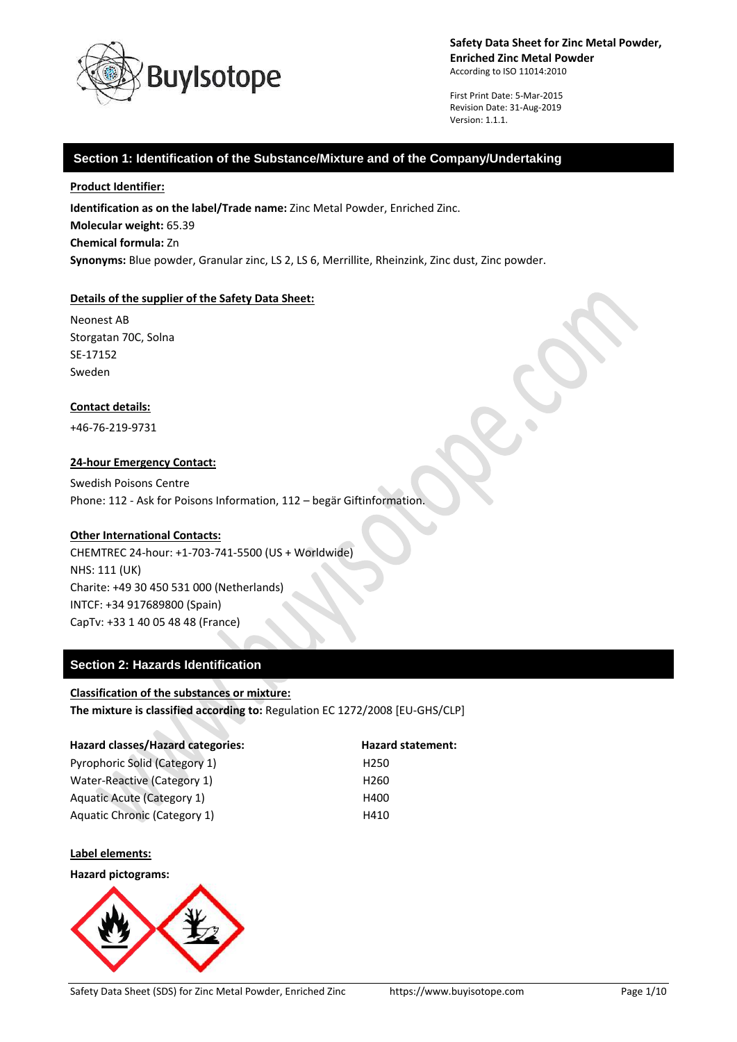

First Print Date: 5-Mar-2015 Revision Date: 31-Aug-2019 Version: 1.1.1.

## **Section 1: Identification of the Substance/Mixture and of the Company/Undertaking**

### **Product Identifier:**

**Identification as on the label/Trade name:** Zinc Metal Powder, Enriched Zinc. **Molecular weight:** 65.39 **Chemical formula:** Zn **Synonyms:** Blue powder, Granular zinc, LS 2, LS 6, Merrillite, Rheinzink, Zinc dust, Zinc powder.

## **Details of the supplier of the Safety Data Sheet:**

Neonest AB Storgatan 70C, Solna SE-17152 Sweden

### **Contact details:**

+46-76-219-9731

## **24-hour Emergency Contact:**

Swedish Poisons Centre Phone: 112 - Ask for Poisons Information, 112 – begär Giftinformation.

### **Other International Contacts:**

CHEMTREC 24-hour: +1-703-741-5500 (US + Worldwide) NHS: 111 (UK) Charite: +49 30 450 531 000 (Netherlands) INTCF: +34 917689800 (Spain) CapTv: +33 1 40 05 48 48 (France)

# **Section 2: Hazards Identification**

#### **Classification of the substances or mixture:**

**The mixture is classified according to:** Regulation EC 1272/2008 [EU-GHS/CLP]

| Hazard classes/Hazard categories:  | Hazard statement: |
|------------------------------------|-------------------|
| Pyrophoric Solid (Category 1)      | H <sub>250</sub>  |
| <b>Water-Reactive (Category 1)</b> | H <sub>260</sub>  |
| <b>Aquatic Acute (Category 1)</b>  | H400              |
| Aquatic Chronic (Category 1)       | H410              |

#### **Label elements:**

#### **Hazard pictograms:**

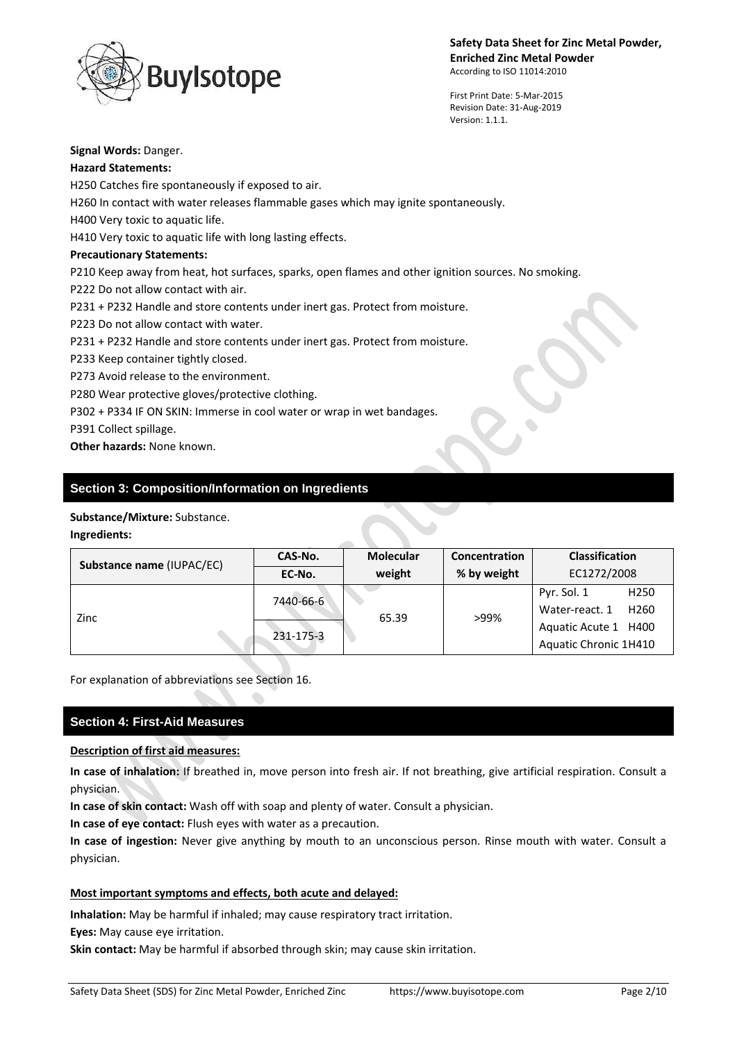

First Print Date: 5-Mar-2015 Revision Date: 31-Aug-2019 Version: 1.1.1.

## **Signal Words:** Danger.

## **Hazard Statements:**

H250 Catches fire spontaneously if exposed to air.

H260 In contact with water releases flammable gases which may ignite spontaneously.

H400 Very toxic to aquatic life.

H410 Very toxic to aquatic life with long lasting effects.

# **Precautionary Statements:**

P210 Keep away from heat, hot surfaces, sparks, open flames and other ignition sources. No smoking.

P222 Do not allow contact with air.

P231 + P232 Handle and store contents under inert gas. Protect from moisture.

P223 Do not allow contact with water.

P231 + P232 Handle and store contents under inert gas. Protect from moisture.

P233 Keep container tightly closed.

P273 Avoid release to the environment.

P280 Wear protective gloves/protective clothing.

P302 + P334 IF ON SKIN: Immerse in cool water or wrap in wet bandages.

P391 Collect spillage.

**Other hazards:** None known.

# **Section 3: Composition/Information on Ingredients**

# **Substance/Mixture:** Substance.

# **Ingredients:**

| Substance name (IUPAC/EC) | CAS-No.   | <b>Molecular</b> | Concentration | <b>Classification</b>              |
|---------------------------|-----------|------------------|---------------|------------------------------------|
|                           | EC-No.    | weight           | % by weight   | EC1272/2008                        |
| Zinc                      | 7440-66-6 | 65.39            | >99%          | H <sub>250</sub><br>Pyr. Sol. 1    |
|                           |           |                  |               | Water-react. 1<br>H <sub>260</sub> |
|                           | 231-175-3 |                  |               | Aquatic Acute 1 H400               |
|                           |           |                  |               | Aquatic Chronic 1H410              |

For explanation of abbreviations see Section 16.

# **Section 4: First-Aid Measures**

# **Description of first aid measures:**

**In case of inhalation:** If breathed in, move person into fresh air. If not breathing, give artificial respiration. Consult a physician.

**In case of skin contact:** Wash off with soap and plenty of water. Consult a physician.

**In case of eye contact:** Flush eyes with water as a precaution.

**In case of ingestion:** Never give anything by mouth to an unconscious person. Rinse mouth with water. Consult a physician.

# **Most important symptoms and effects, both acute and delayed:**

**Inhalation:** May be harmful if inhaled; may cause respiratory tract irritation.

**Eyes:** May cause eye irritation.

**Skin contact:** May be harmful if absorbed through skin; may cause skin irritation.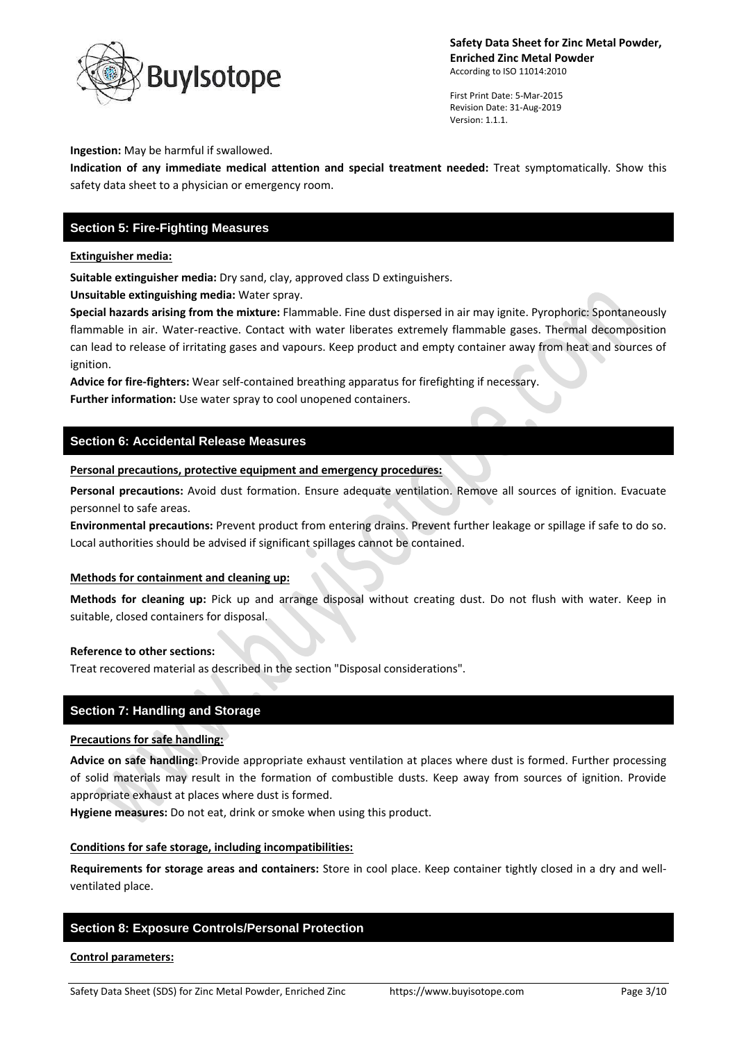

First Print Date: 5-Mar-2015 Revision Date: 31-Aug-2019 Version: 1.1.1.

### **Ingestion:** May be harmful if swallowed.

**Indication of any immediate medical attention and special treatment needed:** Treat symptomatically. Show this safety data sheet to a physician or emergency room.

# **Section 5: Fire-Fighting Measures**

### **Extinguisher media:**

**Suitable extinguisher media:** Dry sand, clay, approved class D extinguishers.

**Unsuitable extinguishing media:** Water spray.

**Special hazards arising from the mixture:** Flammable. Fine dust dispersed in air may ignite. Pyrophoric: Spontaneously flammable in air. Water-reactive. Contact with water liberates extremely flammable gases. Thermal decomposition can lead to release of irritating gases and vapours. Keep product and empty container away from heat and sources of ignition.

**Advice for fire-fighters:** Wear self-contained breathing apparatus for firefighting if necessary. **Further information:** Use water spray to cool unopened containers.

## **Section 6: Accidental Release Measures**

**Personal precautions, protective equipment and emergency procedures:**

**Personal precautions:** Avoid dust formation. Ensure adequate ventilation. Remove all sources of ignition. Evacuate personnel to safe areas.

**Environmental precautions:** Prevent product from entering drains. Prevent further leakage or spillage if safe to do so. Local authorities should be advised if significant spillages cannot be contained.

## **Methods for containment and cleaning up:**

**Methods for cleaning up:** Pick up and arrange disposal without creating dust. Do not flush with water. Keep in suitable, closed containers for disposal.

#### **Reference to other sections:**

Treat recovered material as described in the section "Disposal considerations".

## **Section 7: Handling and Storage**

#### **Precautions for safe handling:**

**Advice on safe handling:** Provide appropriate exhaust ventilation at places where dust is formed. Further processing of solid materials may result in the formation of combustible dusts. Keep away from sources of ignition. Provide appropriate exhaust at places where dust is formed.

**Hygiene measures:** Do not eat, drink or smoke when using this product.

## **Conditions for safe storage, including incompatibilities:**

**Requirements for storage areas and containers:** Store in cool place. Keep container tightly closed in a dry and wellventilated place.

# **Section 8: Exposure Controls/Personal Protection**

#### **Control parameters:**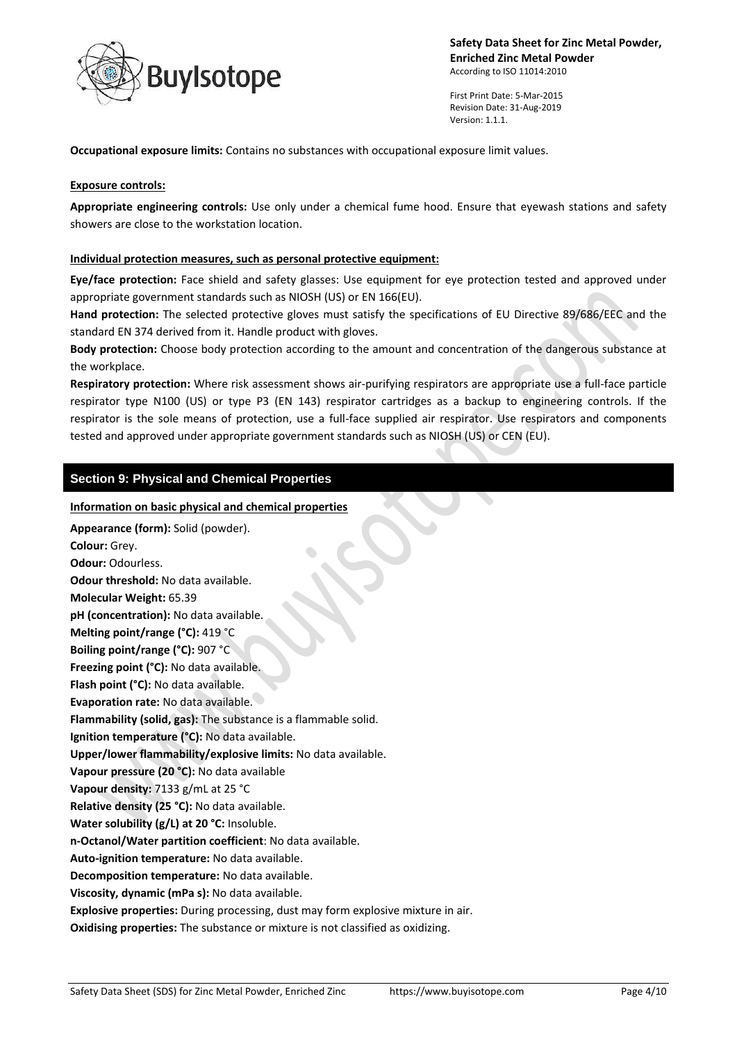

First Print Date: 5-Mar-2015 Revision Date: 31-Aug-2019 Version: 1.1.1.

**Occupational exposure limits:** Contains no substances with occupational exposure limit values.

### **Exposure controls:**

**Appropriate engineering controls:** Use only under a chemical fume hood. Ensure that eyewash stations and safety showers are close to the workstation location.

### **Individual protection measures, such as personal protective equipment:**

**Eye/face protection:** Face shield and safety glasses: Use equipment for eye protection tested and approved under appropriate government standards such as NIOSH (US) or EN 166(EU).

**Hand protection:** The selected protective gloves must satisfy the specifications of EU Directive 89/686/EEC and the standard EN 374 derived from it. Handle product with gloves.

**Body protection:** Choose body protection according to the amount and concentration of the dangerous substance at the workplace.

**Respiratory protection:** Where risk assessment shows air-purifying respirators are appropriate use a full-face particle respirator type N100 (US) or type P3 (EN 143) respirator cartridges as a backup to engineering controls. If the respirator is the sole means of protection, use a full-face supplied air respirator. Use respirators and components tested and approved under appropriate government standards such as NIOSH (US) or CEN (EU).

## **Section 9: Physical and Chemical Properties**

#### **Information on basic physical and chemical properties**

**Appearance (form):** Solid (powder). **Colour:** Grey. **Odour:** Odourless. **Odour threshold:** No data available. **Molecular Weight:** 65.39 **pH (concentration):** No data available. **Melting point/range (°C):** 419 °C **Boiling point/range (°C):** 907 °C **Freezing point (°C):** No data available. **Flash point (°C):** No data available. **Evaporation rate:** No data available. **Flammability (solid, gas):** The substance is a flammable solid. **Ignition temperature (°C):** No data available. **Upper/lower flammability/explosive limits:** No data available. **Vapour pressure (20 °C):** No data available **Vapour density:** 7133 g/mL at 25 °C **Relative density (25 °C):** No data available. **Water solubility (g/L) at 20 °C:** Insoluble. **n-Octanol/Water partition coefficient**: No data available. **Auto-ignition temperature:** No data available. **Decomposition temperature:** No data available. **Viscosity, dynamic (mPa s):** No data available. **Explosive properties:** During processing, dust may form explosive mixture in air. **Oxidising properties:** The substance or mixture is not classified as oxidizing.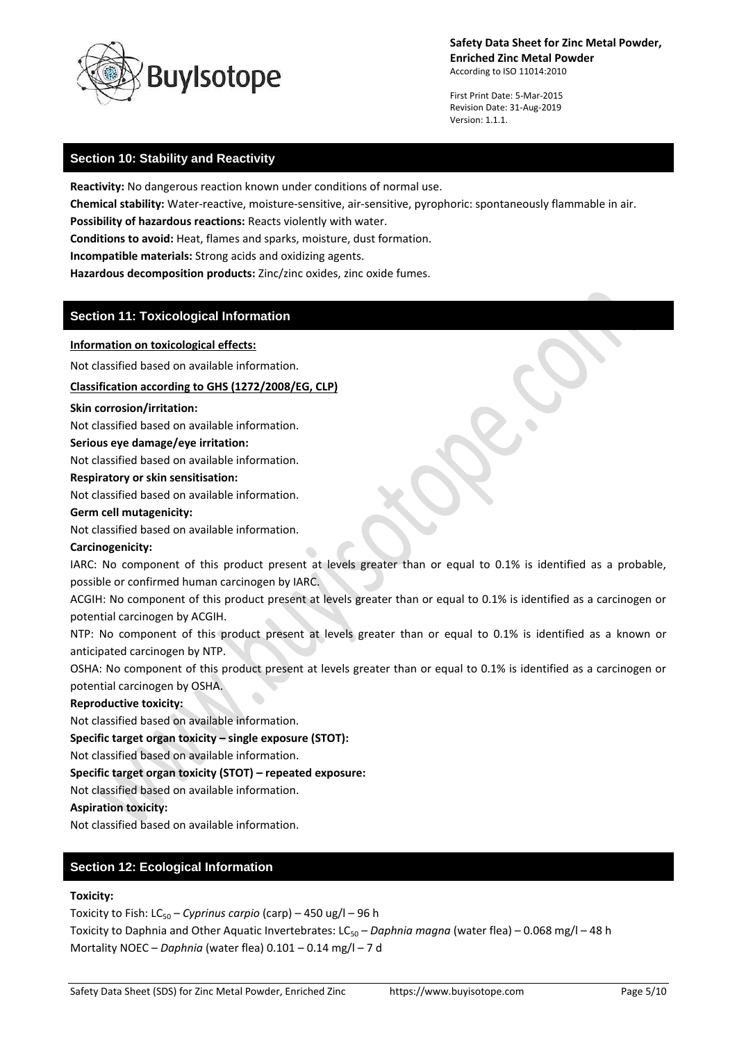

First Print Date: 5-Mar-2015 Revision Date: 31-Aug-2019 Version: 1.1.1.

# **Section 10: Stability and Reactivity**

**Reactivity:** No dangerous reaction known under conditions of normal use.

**Chemical stability:** Water-reactive, moisture-sensitive, air-sensitive, pyrophoric: spontaneously flammable in air.

**Possibility of hazardous reactions:** Reacts violently with water.

**Conditions to avoid:** Heat, flames and sparks, moisture, dust formation.

**Incompatible materials:** Strong acids and oxidizing agents.

**Hazardous decomposition products:** Zinc/zinc oxides, zinc oxide fumes.

# **Section 11: Toxicological Information**

## **Information on toxicological effects:**

Not classified based on available information.

**Classification according to GHS (1272/2008/EG, CLP)**

## **Skin corrosion/irritation:**

Not classified based on available information.

## **Serious eye damage/eye irritation:**

Not classified based on available information.

# **Respiratory or skin sensitisation:**

Not classified based on available information.

### **Germ cell mutagenicity:**

Not classified based on available information.

## **Carcinogenicity:**

IARC: No component of this product present at levels greater than or equal to 0.1% is identified as a probable, possible or confirmed human carcinogen by IARC.

ACGIH: No component of this product present at levels greater than or equal to 0.1% is identified as a carcinogen or potential carcinogen by ACGIH.

NTP: No component of this product present at levels greater than or equal to 0.1% is identified as a known or anticipated carcinogen by NTP.

OSHA: No component of this product present at levels greater than or equal to 0.1% is identified as a carcinogen or potential carcinogen by OSHA.

# **Reproductive toxicity:**

Not classified based on available information.

**Specific target organ toxicity – single exposure (STOT):**

Not classified based on available information.

**Specific target organ toxicity (STOT) – repeated exposure:**

Not classified based on available information.

## **Aspiration toxicity:**

Not classified based on available information.

# **Section 12: Ecological Information**

# **Toxicity:**

Toxicity to Fish: LC<sub>50</sub> – *Cyprinus carpio* (carp) – 450 ug/l – 96 h

Toxicity to Daphnia and Other Aquatic Invertebrates: LC<sub>50</sub> – *Daphnia magna* (water flea) – 0.068 mg/l – 48 h Mortality NOEC – *Daphnia* (water flea) 0.101 – 0.14 mg/l – 7 d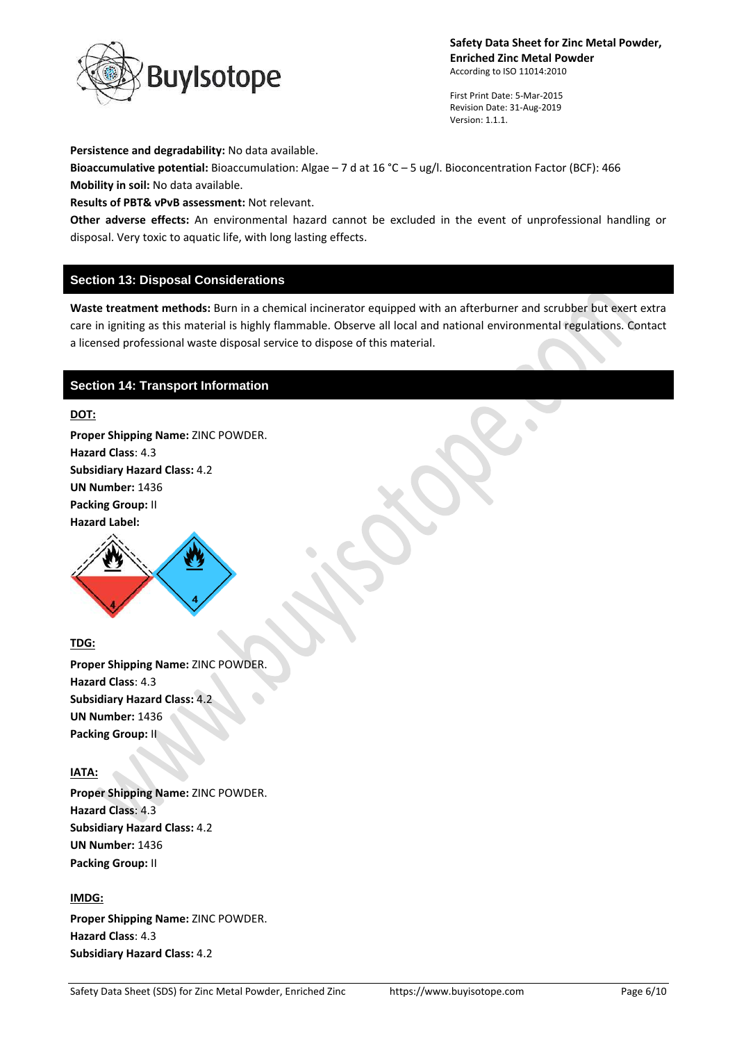

First Print Date: 5-Mar-2015 Revision Date: 31-Aug-2019 Version: 1.1.1.

**Persistence and degradability:** No data available.

**Bioaccumulative potential:** Bioaccumulation: Algae – 7 d at 16 °C – 5 ug/l. Bioconcentration Factor (BCF): 466 **Mobility in soil:** No data available.

**Results of PBT& vPvB assessment:** Not relevant.

**Other adverse effects:** An environmental hazard cannot be excluded in the event of unprofessional handling or disposal. Very toxic to aquatic life, with long lasting effects.

## **Section 13: Disposal Considerations**

**Waste treatment methods:** Burn in a chemical incinerator equipped with an afterburner and scrubber but exert extra care in igniting as this material is highly flammable. Observe all local and national environmental regulations. Contact a licensed professional waste disposal service to dispose of this material.

## **Section 14: Transport Information**

## **DOT:**

**Proper Shipping Name:** ZINC POWDER. **Hazard Class**: 4.3 **Subsidiary Hazard Class:** 4.2 **UN Number:** 1436 **Packing Group:** II **Hazard Label:** 



# **TDG:**

**Proper Shipping Name:** ZINC POWDER. **Hazard Class**: 4.3 **Subsidiary Hazard Class:** 4.2 **UN Number:** 1436 **Packing Group:** II

## **IATA:**

**Proper Shipping Name:** ZINC POWDER. **Hazard Class**: 4.3 **Subsidiary Hazard Class:** 4.2 **UN Number:** 1436 **Packing Group:** II

## **IMDG:**

**Proper Shipping Name:** ZINC POWDER. **Hazard Class**: 4.3 **Subsidiary Hazard Class:** 4.2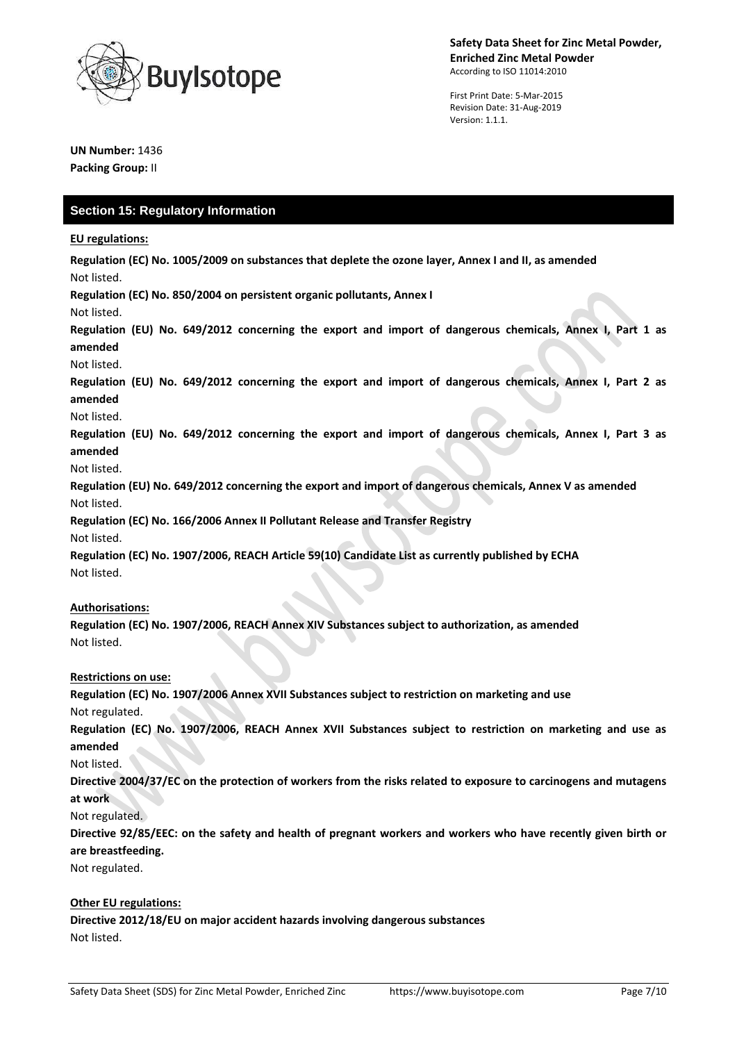

First Print Date: 5-Mar-2015 Revision Date: 31-Aug-2019 Version: 1.1.1.

**UN Number:** 1436 **Packing Group:** II

# **Section 15: Regulatory Information**

**EU regulations:**

**Regulation (EC) No. 1005/2009 on substances that deplete the ozone layer, Annex I and II, as amended** Not listed.

**Regulation (EC) No. 850/2004 on persistent organic pollutants, Annex I**

Not listed.

**Regulation (EU) No. 649/2012 concerning the export and import of dangerous chemicals, Annex I, Part 1 as amended**

Not listed.

**Regulation (EU) No. 649/2012 concerning the export and import of dangerous chemicals, Annex I, Part 2 as amended**

#### Not listed.

**Regulation (EU) No. 649/2012 concerning the export and import of dangerous chemicals, Annex I, Part 3 as amended**

Not listed.

**Regulation (EU) No. 649/2012 concerning the export and import of dangerous chemicals, Annex V as amended** Not listed.

**Regulation (EC) No. 166/2006 Annex II Pollutant Release and Transfer Registry** Not listed.

**Regulation (EC) No. 1907/2006, REACH Article 59(10) Candidate List as currently published by ECHA** Not listed.

## **Authorisations:**

**Regulation (EC) No. 1907/2006, REACH Annex XIV Substances subject to authorization, as amended** Not listed.

## **Restrictions on use:**

**Regulation (EC) No. 1907/2006 Annex XVII Substances subject to restriction on marketing and use** Not regulated.

**Regulation (EC) No. 1907/2006, REACH Annex XVII Substances subject to restriction on marketing and use as amended**

Not listed.

**Directive 2004/37/EC on the protection of workers from the risks related to exposure to carcinogens and mutagens at work**

Not regulated.

**Directive 92/85/EEC: on the safety and health of pregnant workers and workers who have recently given birth or are breastfeeding.**

Not regulated.

## **Other EU regulations:**

**Directive 2012/18/EU on major accident hazards involving dangerous substances** Not listed.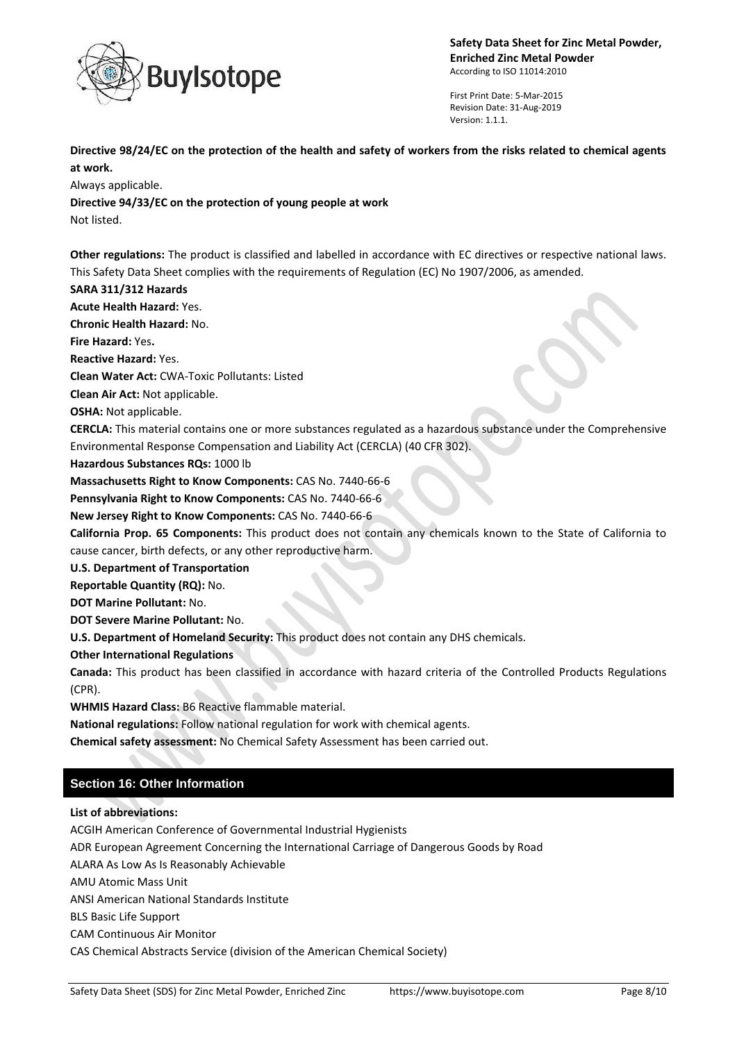

First Print Date: 5-Mar-2015 Revision Date: 31-Aug-2019 Version: 1.1.1.

**Directive 98/24/EC on the protection of the health and safety of workers from the risks related to chemical agents at work.**

Always applicable.

**Directive 94/33/EC on the protection of young people at work**

Not listed.

**Other regulations:** The product is classified and labelled in accordance with EC directives or respective national laws. This Safety Data Sheet complies with the requirements of Regulation (EC) No 1907/2006, as amended.

## **SARA 311/312 Hazards**

**Acute Health Hazard:** Yes.

**Chronic Health Hazard:** No.

**Fire Hazard:** Yes**.**

**Reactive Hazard:** Yes.

**Clean Water Act:** CWA-Toxic Pollutants: Listed

**Clean Air Act:** Not applicable.

**OSHA:** Not applicable.

**CERCLA:** This material contains one or more substances regulated as a hazardous substance under the Comprehensive Environmental Response Compensation and Liability Act (CERCLA) (40 CFR 302).

**Hazardous Substances RQs:** 1000 lb

**Massachusetts Right to Know Components:** CAS No. 7440-66-6

**Pennsylvania Right to Know Components:** CAS No. 7440-66-6

**New Jersey Right to Know Components:** CAS No. 7440-66-6

**California Prop. 65 Components:** This product does not contain any chemicals known to the State of California to cause cancer, birth defects, or any other reproductive harm.

**U.S. Department of Transportation**

**Reportable Quantity (RQ):** No.

**DOT Marine Pollutant:** No.

**DOT Severe Marine Pollutant:** No.

**U.S. Department of Homeland Security:** This product does not contain any DHS chemicals.

**Other International Regulations**

**Canada:** This product has been classified in accordance with hazard criteria of the Controlled Products Regulations (CPR).

**WHMIS Hazard Class:** B6 Reactive flammable material.

**National regulations:** Follow national regulation for work with chemical agents.

**Chemical safety assessment:** No Chemical Safety Assessment has been carried out.

# **Section 16: Other Information**

**List of abbreviations:**

ACGIH American Conference of Governmental Industrial Hygienists ADR European Agreement Concerning the International Carriage of Dangerous Goods by Road ALARA As Low As Is Reasonably Achievable AMU Atomic Mass Unit ANSI American National Standards Institute BLS Basic Life Support CAM Continuous Air Monitor CAS Chemical Abstracts Service (division of the American Chemical Society)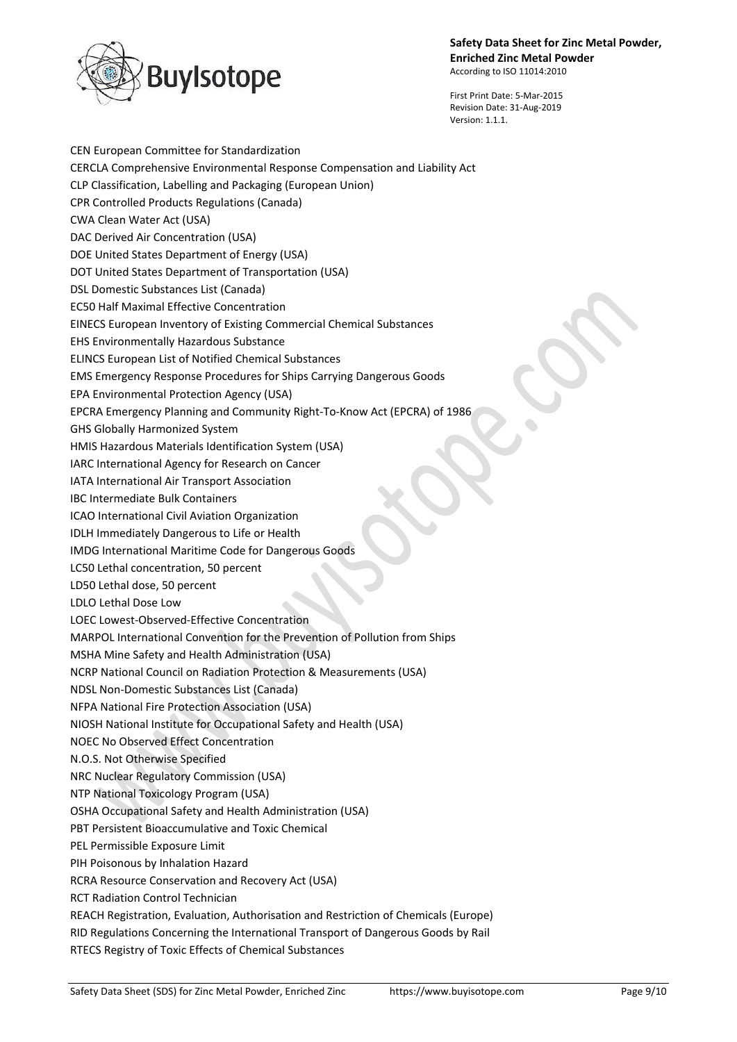

First Print Date: 5-Mar-2015 Revision Date: 31-Aug-2019

Version: 1.1.1.

CEN European Committee for Standardization CERCLA Comprehensive Environmental Response Compensation and Liability Act CLP Classification, Labelling and Packaging (European Union) CPR Controlled Products Regulations (Canada) CWA Clean Water Act (USA) DAC Derived Air Concentration (USA) DOE United States Department of Energy (USA) DOT United States Department of Transportation (USA) DSL Domestic Substances List (Canada) EC50 Half Maximal Effective Concentration EINECS European Inventory of Existing Commercial Chemical Substances EHS Environmentally Hazardous Substance ELINCS European List of Notified Chemical Substances EMS Emergency Response Procedures for Ships Carrying Dangerous Goods EPA Environmental Protection Agency (USA) EPCRA Emergency Planning and Community Right-To-Know Act (EPCRA) of 1986 GHS Globally Harmonized System HMIS Hazardous Materials Identification System (USA) IARC International Agency for Research on Cancer IATA International Air Transport Association IBC Intermediate Bulk Containers ICAO International Civil Aviation Organization IDLH Immediately Dangerous to Life or Health IMDG International Maritime Code for Dangerous Goods LC50 Lethal concentration, 50 percent LD50 Lethal dose, 50 percent LDLO Lethal Dose Low LOEC Lowest-Observed-Effective Concentration MARPOL International Convention for the Prevention of Pollution from Ships MSHA Mine Safety and Health Administration (USA) NCRP National Council on Radiation Protection & Measurements (USA) NDSL Non-Domestic Substances List (Canada) NFPA National Fire Protection Association (USA) NIOSH National Institute for Occupational Safety and Health (USA) NOEC No Observed Effect Concentration N.O.S. Not Otherwise Specified NRC Nuclear Regulatory Commission (USA) NTP National Toxicology Program (USA) OSHA Occupational Safety and Health Administration (USA) PBT Persistent Bioaccumulative and Toxic Chemical PEL Permissible Exposure Limit PIH Poisonous by Inhalation Hazard RCRA Resource Conservation and Recovery Act (USA) RCT Radiation Control Technician REACH Registration, Evaluation, Authorisation and Restriction of Chemicals (Europe) RID Regulations Concerning the International Transport of Dangerous Goods by Rail RTECS Registry of Toxic Effects of Chemical Substances